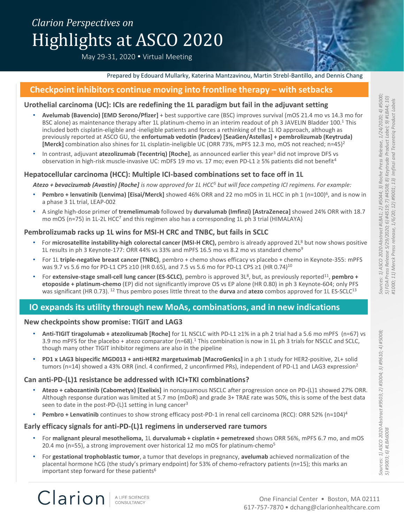# *Clarion Perspectives on* Highlights at ASCO 2020

May 29-31, 2020 Virtual Meeting



### **Checkpoint inhibitors continue moving into frontline therapy – with setbacks**

### **Urothelial carcinoma (UC): ICIs are redefining the 1L paradigm but fail in the adjuvant setting**

- **Avelumab (Bavencio) [EMD Serono/Pfizer]** + best supportive care (BSC) improves survival (mOS 21.4 mo vs 14.3 mo for BSC alone) as maintenance therapy after 1L platinum-chemo in an interim readout of ph 3 JAVELIN Bladder 100.<sup>1</sup> This included both cisplatin-eligible and -ineligible patients and forces a rethinking of the 1L IO approach, although as previously reported at ASCO GU, the **enfortumab vedotin (Padcev) [SeaGen/Astellas] + pembrolizumab (Keytruda) [Merck]** combination also shines for 1L cisplatin-ineligible UC (ORR 73%, mPFS 12.3 mo, mOS not reached; n=45)<sup>2</sup>
- In contrast, adjuvant **atezolizumab (Tecentriq) [Roche]**, as announced earlier this year<sup>3</sup> did not improve DFS vs observation in high-risk muscle-invasive UC: mDFS 19 mo vs. 17 mo; even PD-L1 ≥ 5% patients did not benefit<sup>4</sup>

### **Hepatocellular carcinoma (HCC): Multiple ICI-based combinations set to face off in 1L**

*Atezo + bevacizumab (Avastin) [Roche] is now approved for 1L HCC<sup>5</sup> but will face competing ICI regimens. For example:* 

- Pembro + lenvatinib (Lenvima) [Eisai/Merck] showed 46% ORR and 22 mo mOS in 1L HCC in ph 1 (n=100)<sup>6</sup>, and is now in a phase 3 1L trial, LEAP-002
- A single high-dose primer of **tremelimumab** followed by **durvalumab (Imfinzi) [AstraZeneca]** showed 24% ORR with 18.7 mo mOS (n=75) in 1L-2L HCC<sup>7</sup> and this regimen also has a corresponding 1L ph 3 trial (HIMALAYA)

### **Pembrolizumab racks up 1L wins for MSI-H CRC and TNBC, but fails in SCLC**

- For **microsatellite instability-high colorectal cancer (MSI-H CRC),** pembro is already approved 2L<sup>8</sup> but now shows positive 1L results in ph 3 Keynote-177: ORR 44% vs 33% and mPFS 16.5 mo vs 8.2 mo vs standard chemo<sup>9</sup>
- For 1L **triple-negative breast cancer (TNBC)**, pembro + chemo shows efficacy vs placebo + chemo in Keynote-355: mPFS was 9.7 vs 5.6 mo for PD-L1 CPS ≥10 (HR 0.65), and 7.5 vs 5.6 mo for PD-L1 CPS ≥1 (HR 0.74)<sup>10</sup>
- For extensive-stage small-cell lung cancer (ES-SCLC), pembro is approved 3L<sup>8</sup>, but, as previously reported<sup>11</sup>, pembro + **etoposide + platinum-chemo** (EP) did not significantly improve OS vs EP alone (HR 0.80) in ph 3 Keynote-604; only PFS was significant (HR 0.73). <sup>12</sup> Thus pembro poses little threat to the **durva** and **atezo** combos approved for 1L ES-SCLC<sup>13</sup>

## **IO expands its utility through new MoAs, combinations, and in new indications**

#### **New checkpoints show promise: TIGIT and LAG3**

- **Anti-TIGIT tiragolumab + atezolizumab [Roche]** for 1L NSCLC with PD-L1 ≥1% in a ph 2 trial had a 5.6 mo mPFS (n=67) vs 3.9 mo mPFS for the placebo + atezo comparator (n=68).<sup>1</sup> This combination is now in 1L ph 3 trials for NSCLC and SCLC, though many other TIGIT inhibitor regimens are also in the pipeline
- **PD1 x LAG3 bispecific MGD013 + anti-HER2 margetuximab [MacroGenics]** in a ph 1 study for HER2-positive, 2L+ solid tumors (n=14) showed a 43% ORR (incl. 4 confirmed, 2 unconfirmed PRs), independent of PD-L1 and LAG3 expression<sup>2</sup>

#### **Can anti-PD-(L)1 resistance be addressed with ICI+TKI combinations?**

- **Atezo + cabozantinib (Cabometyx) [Exelixis]** in nonsquamous NSCLC after progression once on PD-(L)1 showed 27% ORR. Although response duration was limited at 5.7 mo (mDoR) and grade 3+ TRAE rate was 50%, this is some of the best data seen to date in the post-PD- $(L)1$  setting in lung cancer<sup>3</sup>
- **Pembro + Lenvatinib** continues to show strong efficacy post-PD-1 in renal cell carcinoma (RCC): ORR 52% (n=104)<sup>4</sup>

### **Early efficacy signals for anti-PD-(L)1 regimens in underserved rare tumors**

- For **malignant pleural mesothelioma,** 1L **durvalumab + cisplatin + pemetrexed** shows ORR 56%, mPFS 6.7 mo, and mOS 20.4 mo (n=55), a strong improvement over historical 12 mo mOS for platinum-chemo<sup>5</sup>
- For **gestational trophoblastic tumor**, a tumor that develops in pregnancy, **avelumab** achieved normalization of the placental hormone hCG (the study's primary endpoint) for 53% of chemo-refractory patients (n=15); this marks an important step forward for these patients<sup>6</sup>

*5) #9003; 6) #LBA6008*

Clarion A LIFE SCIENCES<br>CONSULTANCY